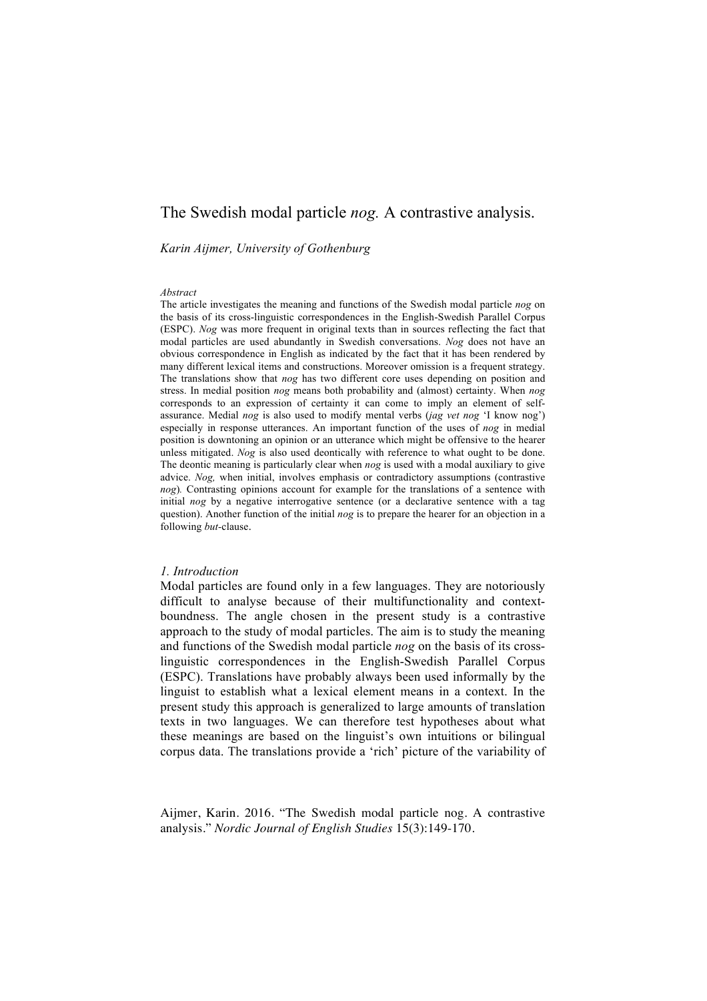# The Swedish modal particle *nog.* A contrastive analysis.

#### *Karin Aijmer, University of Gothenburg*

#### *Abstract*

The article investigates the meaning and functions of the Swedish modal particle *nog* on the basis of its cross-linguistic correspondences in the English-Swedish Parallel Corpus (ESPC). *Nog* was more frequent in original texts than in sources reflecting the fact that modal particles are used abundantly in Swedish conversations. *Nog* does not have an obvious correspondence in English as indicated by the fact that it has been rendered by many different lexical items and constructions. Moreover omission is a frequent strategy. The translations show that *nog* has two different core uses depending on position and stress. In medial position *nog* means both probability and (almost) certainty. When *nog*  corresponds to an expression of certainty it can come to imply an element of selfassurance. Medial *nog* is also used to modify mental verbs (*jag vet nog* 'I know nog') especially in response utterances. An important function of the uses of *nog* in medial position is downtoning an opinion or an utterance which might be offensive to the hearer unless mitigated. *Nog* is also used deontically with reference to what ought to be done. The deontic meaning is particularly clear when *nog* is used with a modal auxiliary to give advice. *Nog,* when initial, involves emphasis or contradictory assumptions (contrastive *nog*)*.* Contrasting opinions account for example for the translations of a sentence with initial *nog* by a negative interrogative sentence (or a declarative sentence with a tag question). Another function of the initial *nog* is to prepare the hearer for an objection in a following *but-*clause.

# *1. Introduction*

Modal particles are found only in a few languages. They are notoriously difficult to analyse because of their multifunctionality and contextboundness. The angle chosen in the present study is a contrastive approach to the study of modal particles. The aim is to study the meaning and functions of the Swedish modal particle *nog* on the basis of its crosslinguistic correspondences in the English-Swedish Parallel Corpus (ESPC). Translations have probably always been used informally by the linguist to establish what a lexical element means in a context. In the present study this approach is generalized to large amounts of translation texts in two languages. We can therefore test hypotheses about what these meanings are based on the linguist's own intuitions or bilingual corpus data. The translations provide a 'rich' picture of the variability of

Aijmer, Karin. 2016. "The Swedish modal particle nog. A contrastive analysis." *Nordic Journal of English Studies* 15(3):149-170.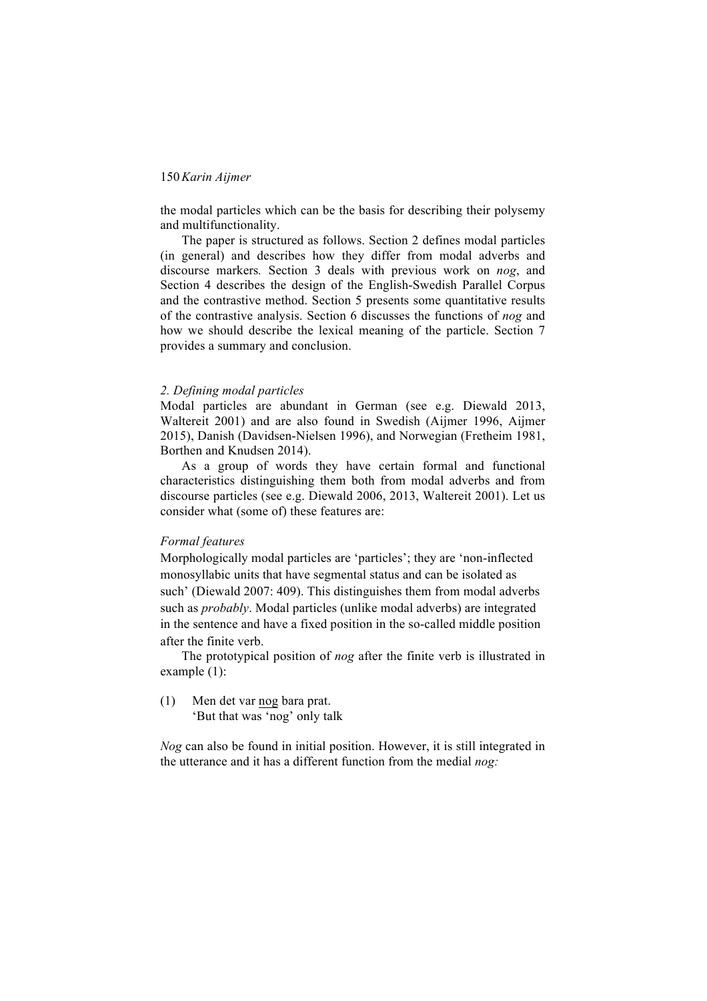the modal particles which can be the basis for describing their polysemy and multifunctionality.

The paper is structured as follows. Section 2 defines modal particles (in general) and describes how they differ from modal adverbs and discourse markers*.* Section 3 deals with previous work on *nog*, and Section 4 describes the design of the English-Swedish Parallel Corpus and the contrastive method. Section 5 presents some quantitative results of the contrastive analysis. Section 6 discusses the functions of *nog* and how we should describe the lexical meaning of the particle. Section 7 provides a summary and conclusion.

#### *2. Defining modal particles*

Modal particles are abundant in German (see e.g. Diewald 2013, Waltereit 2001) and are also found in Swedish (Aijmer 1996, Aijmer 2015), Danish (Davidsen-Nielsen 1996), and Norwegian (Fretheim 1981, Borthen and Knudsen 2014).

As a group of words they have certain formal and functional characteristics distinguishing them both from modal adverbs and from discourse particles (see e.g. Diewald 2006, 2013, Waltereit 2001). Let us consider what (some of) these features are:

### *Formal features*

Morphologically modal particles are 'particles'; they are 'non-inflected monosyllabic units that have segmental status and can be isolated as such' (Diewald 2007: 409). This distinguishes them from modal adverbs such as *probably*. Modal particles (unlike modal adverbs) are integrated in the sentence and have a fixed position in the so-called middle position after the finite verb.

The prototypical position of *nog* after the finite verb is illustrated in example (1):

(1) Men det var nog bara prat. 'But that was 'nog' only talk

*Nog* can also be found in initial position. However, it is still integrated in the utterance and it has a different function from the medial *nog:*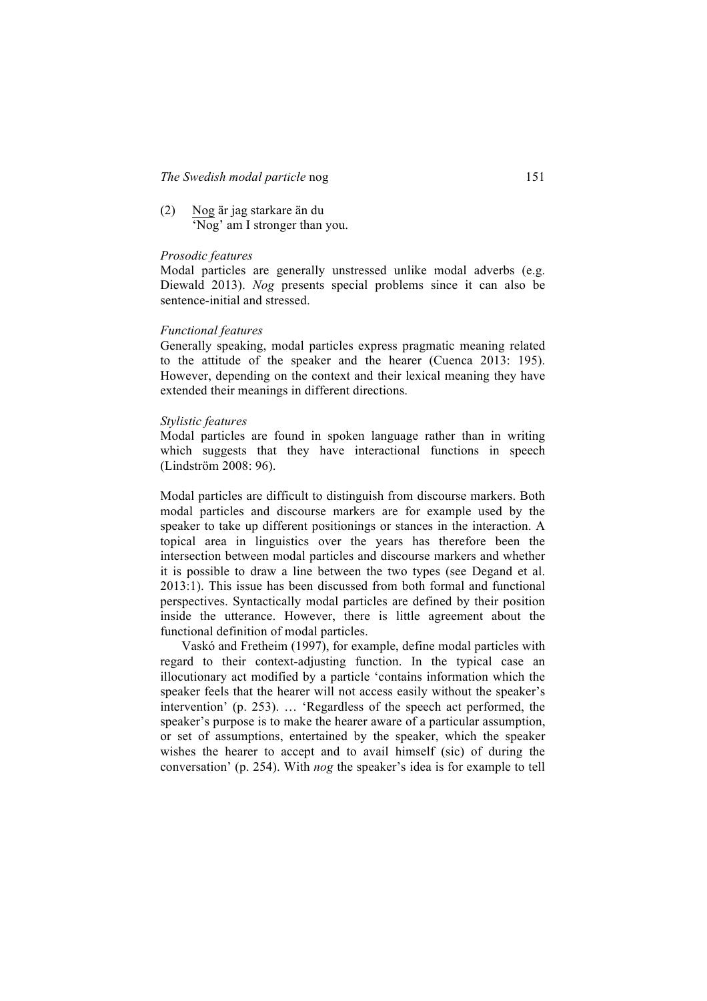(2) Nog är jag starkare än du 'Nog' am I stronger than you.

#### *Prosodic features*

Modal particles are generally unstressed unlike modal adverbs (e.g. Diewald 2013). *Nog* presents special problems since it can also be sentence-initial and stressed.

#### *Functional features*

Generally speaking, modal particles express pragmatic meaning related to the attitude of the speaker and the hearer (Cuenca 2013: 195). However, depending on the context and their lexical meaning they have extended their meanings in different directions.

#### *Stylistic features*

Modal particles are found in spoken language rather than in writing which suggests that they have interactional functions in speech (Lindström 2008: 96).

Modal particles are difficult to distinguish from discourse markers. Both modal particles and discourse markers are for example used by the speaker to take up different positionings or stances in the interaction. A topical area in linguistics over the years has therefore been the intersection between modal particles and discourse markers and whether it is possible to draw a line between the two types (see Degand et al. 2013:1). This issue has been discussed from both formal and functional perspectives. Syntactically modal particles are defined by their position inside the utterance. However, there is little agreement about the functional definition of modal particles.

Vaskó and Fretheim (1997), for example, define modal particles with regard to their context-adjusting function. In the typical case an illocutionary act modified by a particle 'contains information which the speaker feels that the hearer will not access easily without the speaker's intervention' (p. 253). … 'Regardless of the speech act performed, the speaker's purpose is to make the hearer aware of a particular assumption, or set of assumptions, entertained by the speaker, which the speaker wishes the hearer to accept and to avail himself (sic) of during the conversation' (p. 254). With *nog* the speaker's idea is for example to tell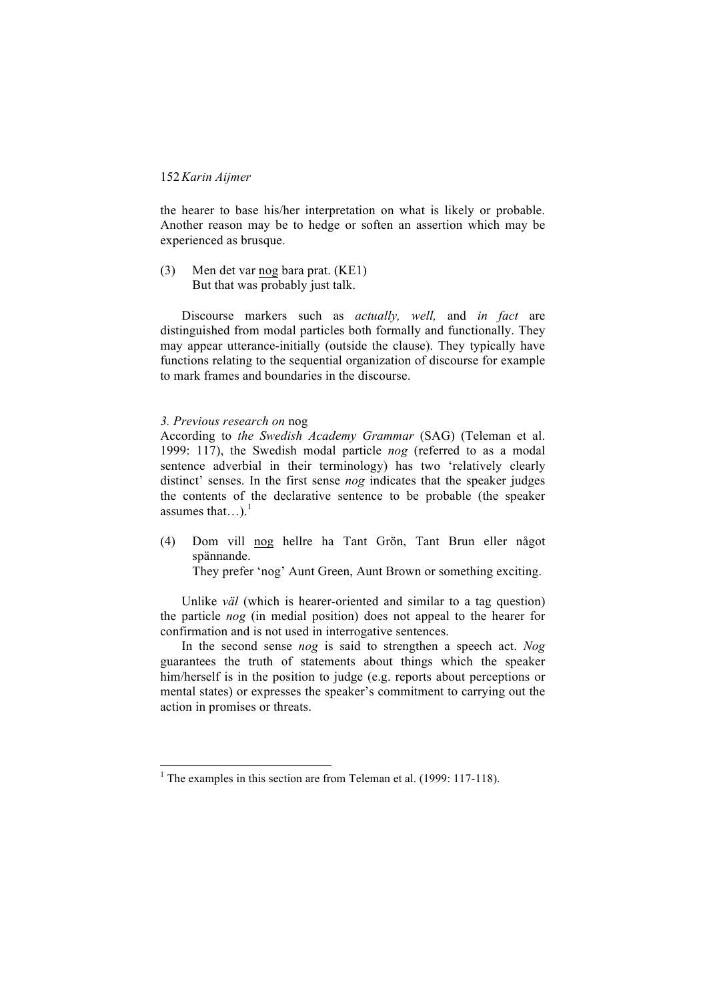the hearer to base his/her interpretation on what is likely or probable. Another reason may be to hedge or soften an assertion which may be experienced as brusque.

(3) Men det var nog bara prat. (KE1) But that was probably just talk.

Discourse markers such as *actually, well,* and *in fact* are distinguished from modal particles both formally and functionally. They may appear utterance-initially (outside the clause). They typically have functions relating to the sequential organization of discourse for example to mark frames and boundaries in the discourse.

#### *3. Previous research on* nog

According to *the Swedish Academy Grammar* (SAG) (Teleman et al. 1999: 117), the Swedish modal particle *nog* (referred to as a modal sentence adverbial in their terminology) has two 'relatively clearly distinct' senses. In the first sense *nog* indicates that the speaker judges the contents of the declarative sentence to be probable (the speaker assumes that...).<sup>1</sup>

(4) Dom vill nog hellre ha Tant Grön, Tant Brun eller något spännande.

They prefer 'nog' Aunt Green, Aunt Brown or something exciting.

Unlike *väl* (which is hearer-oriented and similar to a tag question) the particle *nog* (in medial position) does not appeal to the hearer for confirmation and is not used in interrogative sentences.

In the second sense *nog* is said to strengthen a speech act. *Nog*  guarantees the truth of statements about things which the speaker him/herself is in the position to judge (e.g. reports about perceptions or mental states) or expresses the speaker's commitment to carrying out the action in promises or threats.

<sup>&</sup>lt;sup>1</sup> The examples in this section are from Teleman et al. (1999: 117-118).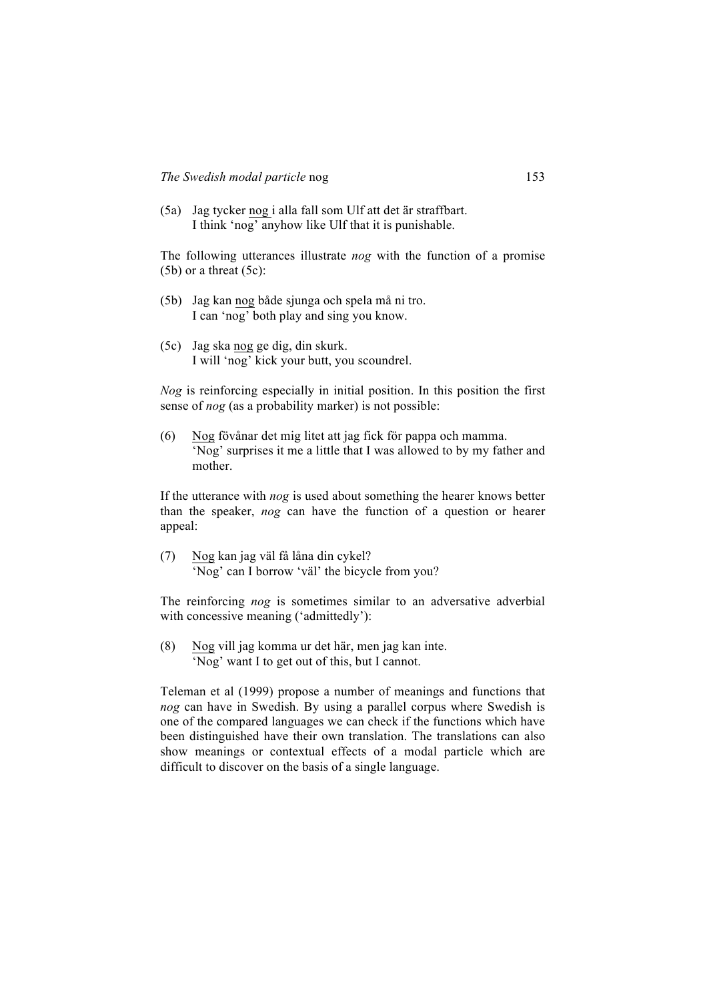(5a) Jag tycker nog i alla fall som Ulf att det är straffbart. I think 'nog' anyhow like Ulf that it is punishable.

The following utterances illustrate *nog* with the function of a promise (5b) or a threat (5c):

- (5b) Jag kan nog både sjunga och spela må ni tro. I can 'nog' both play and sing you know.
- (5c) Jag ska nog ge dig, din skurk. I will 'nog' kick your butt, you scoundrel.

*Nog* is reinforcing especially in initial position. In this position the first sense of *nog* (as a probability marker) is not possible:

(6) Nog fövånar det mig litet att jag fick för pappa och mamma. 'Nog' surprises it me a little that I was allowed to by my father and mother.

If the utterance with *nog* is used about something the hearer knows better than the speaker, *nog* can have the function of a question or hearer appeal:

(7) Nog kan jag väl få låna din cykel? 'Nog' can I borrow 'väl' the bicycle from you?

The reinforcing *nog* is sometimes similar to an adversative adverbial with concessive meaning ('admittedly'):

(8) Nog vill jag komma ur det här, men jag kan inte. 'Nog' want I to get out of this, but I cannot.

Teleman et al (1999) propose a number of meanings and functions that *nog* can have in Swedish. By using a parallel corpus where Swedish is one of the compared languages we can check if the functions which have been distinguished have their own translation. The translations can also show meanings or contextual effects of a modal particle which are difficult to discover on the basis of a single language.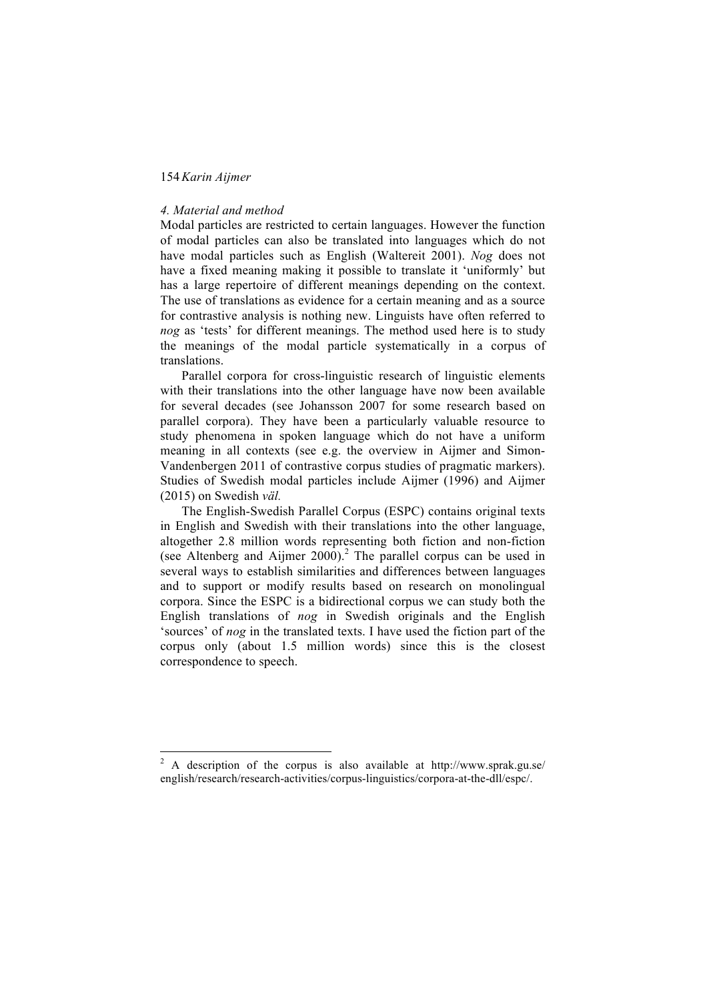#### *4. Material and method*

Modal particles are restricted to certain languages. However the function of modal particles can also be translated into languages which do not have modal particles such as English (Waltereit 2001). *Nog* does not have a fixed meaning making it possible to translate it 'uniformly' but has a large repertoire of different meanings depending on the context. The use of translations as evidence for a certain meaning and as a source for contrastive analysis is nothing new. Linguists have often referred to *nog* as 'tests' for different meanings. The method used here is to study the meanings of the modal particle systematically in a corpus of translations.

Parallel corpora for cross-linguistic research of linguistic elements with their translations into the other language have now been available for several decades (see Johansson 2007 for some research based on parallel corpora). They have been a particularly valuable resource to study phenomena in spoken language which do not have a uniform meaning in all contexts (see e.g. the overview in Aijmer and Simon-Vandenbergen 2011 of contrastive corpus studies of pragmatic markers). Studies of Swedish modal particles include Aijmer (1996) and Aijmer (2015) on Swedish *väl.*

The English-Swedish Parallel Corpus (ESPC) contains original texts in English and Swedish with their translations into the other language, altogether 2.8 million words representing both fiction and non-fiction (see Altenberg and Aijmer 2000).<sup>2</sup> The parallel corpus can be used in several ways to establish similarities and differences between languages and to support or modify results based on research on monolingual corpora. Since the ESPC is a bidirectional corpus we can study both the English translations of *nog* in Swedish originals and the English 'sources' of *nog* in the translated texts. I have used the fiction part of the corpus only (about 1.5 million words) since this is the closest correspondence to speech.

<sup>&</sup>lt;sup>2</sup> A description of the corpus is also available at http://www.sprak.gu.se/ english/research/research-activities/corpus-linguistics/corpora-at-the-dll/espc/.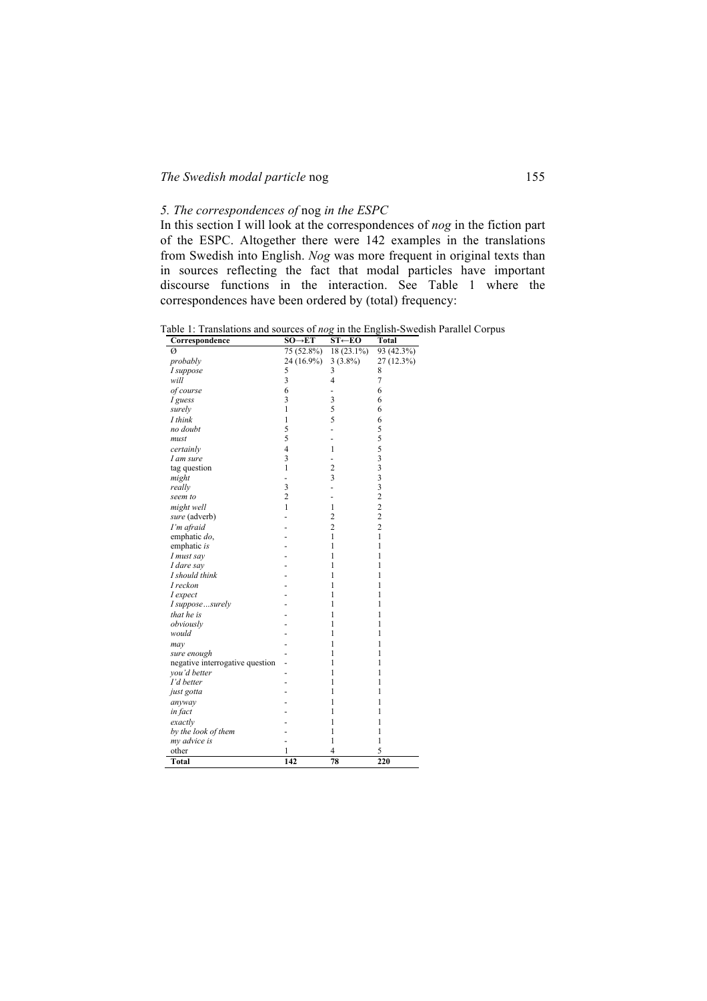# *The Swedish modal particle* nog 155

# *5. The correspondences of* nog *in the ESPC*

In this section I will look at the correspondences of *nog* in the fiction part of the ESPC. Altogether there were 142 examples in the translations from Swedish into English. *Nog* was more frequent in original texts than in sources reflecting the fact that modal particles have important discourse functions in the interaction. See Table 1 where the correspondences have been ordered by (total) frequency:

Table 1: Translations and sources of *nog* in the English-Swedish Parallel Corpus

| Correspondence                  | $SO \rightarrow ET$ | $ST \leftarrow EO$      | Total                                           |
|---------------------------------|---------------------|-------------------------|-------------------------------------------------|
| Ø                               | 75 (52.8%)          | 18 (23.1%)              | 93(42.3%)                                       |
| probably                        | 24 (16.9%)          | $3(3.8\%)$              | 27 (12.3%)                                      |
| I suppose                       | 5                   | 3                       | 8                                               |
| will                            | 3                   | 4                       | $\overline{7}$                                  |
| of course                       | 6                   |                         | 6                                               |
| I guess                         | 3                   | 3                       | 6                                               |
| surely                          | $\mathbf{1}$        | 5                       | 6                                               |
| I think                         | 1                   | 5                       | 6                                               |
| no doubt                        | 5                   | -                       | 5                                               |
| must                            | 5                   |                         | 5                                               |
| certainly                       | $\overline{4}$      | 1                       | 5                                               |
| I am sure                       | 3                   | $\overline{a}$          |                                                 |
| tag question                    | 1                   | $\overline{c}$          | $\begin{array}{c} 3 \\ 3 \\ 3 \\ 2 \end{array}$ |
| might                           | -                   | $\overline{\mathbf{3}}$ |                                                 |
| really                          | 3                   | -                       |                                                 |
| seem to                         | $\overline{c}$      |                         |                                                 |
| might well                      | $\mathbf{1}$        | $\mathbf{1}$            | $\frac{2}{2}$                                   |
| sure (adverb)                   |                     | $\overline{c}$          |                                                 |
| I'm afraid                      |                     | $\overline{c}$          | $\overline{c}$                                  |
| emphatic do,                    |                     | 1                       | $\mathbf{1}$                                    |
| emphatic is                     |                     | 1                       | 1                                               |
| I must say                      |                     | 1                       | 1                                               |
| I dare say                      |                     | 1                       | 1                                               |
| I should think                  |                     | 1                       | 1                                               |
| I reckon                        |                     | 1                       | 1                                               |
| I expect                        |                     | 1                       | 1                                               |
| I supposesurely                 |                     | 1                       | 1                                               |
| that he is                      |                     | 1                       | 1                                               |
| obviously                       |                     | 1                       | 1                                               |
| would                           |                     | 1                       | 1                                               |
| may                             |                     | 1                       | 1                                               |
| sure enough                     |                     | 1                       | 1                                               |
| negative interrogative question |                     | 1                       | 1                                               |
| you'd better                    |                     | 1                       | 1                                               |
| I'd better                      |                     | 1                       | 1                                               |
| just gotta                      |                     | 1                       | 1                                               |
| anyway                          |                     | 1                       | 1                                               |
| in fact                         |                     | 1                       | 1                                               |
| exactly                         |                     | 1                       | 1                                               |
| by the look of them             |                     | 1                       | 1                                               |
| my advice is                    |                     | 1                       | $\mathbf{1}$                                    |
| other                           | 1                   | 4                       | 5                                               |
| Total                           | 142                 | 78                      | 220                                             |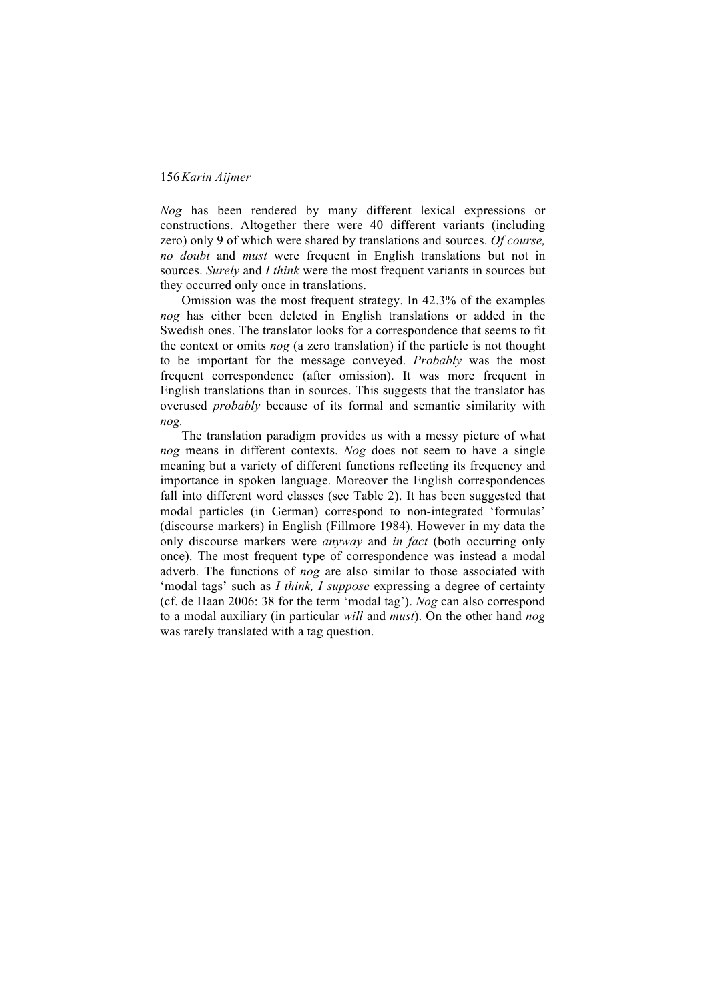*Nog* has been rendered by many different lexical expressions or constructions. Altogether there were 40 different variants (including zero) only 9 of which were shared by translations and sources. *Of course, no doubt* and *must* were frequent in English translations but not in sources. *Surely* and *I think* were the most frequent variants in sources but they occurred only once in translations.

Omission was the most frequent strategy. In 42.3% of the examples *nog* has either been deleted in English translations or added in the Swedish ones. The translator looks for a correspondence that seems to fit the context or omits *nog* (a zero translation) if the particle is not thought to be important for the message conveyed. *Probably* was the most frequent correspondence (after omission). It was more frequent in English translations than in sources. This suggests that the translator has overused *probably* because of its formal and semantic similarity with *nog.* 

The translation paradigm provides us with a messy picture of what *nog* means in different contexts. *Nog* does not seem to have a single meaning but a variety of different functions reflecting its frequency and importance in spoken language. Moreover the English correspondences fall into different word classes (see Table 2). It has been suggested that modal particles (in German) correspond to non-integrated 'formulas' (discourse markers) in English (Fillmore 1984). However in my data the only discourse markers were *anyway* and *in fact* (both occurring only once). The most frequent type of correspondence was instead a modal adverb. The functions of *nog* are also similar to those associated with 'modal tags' such as *I think, I suppose* expressing a degree of certainty (cf. de Haan 2006: 38 for the term 'modal tag'). *Nog* can also correspond to a modal auxiliary (in particular *will* and *must*). On the other hand *nog*  was rarely translated with a tag question.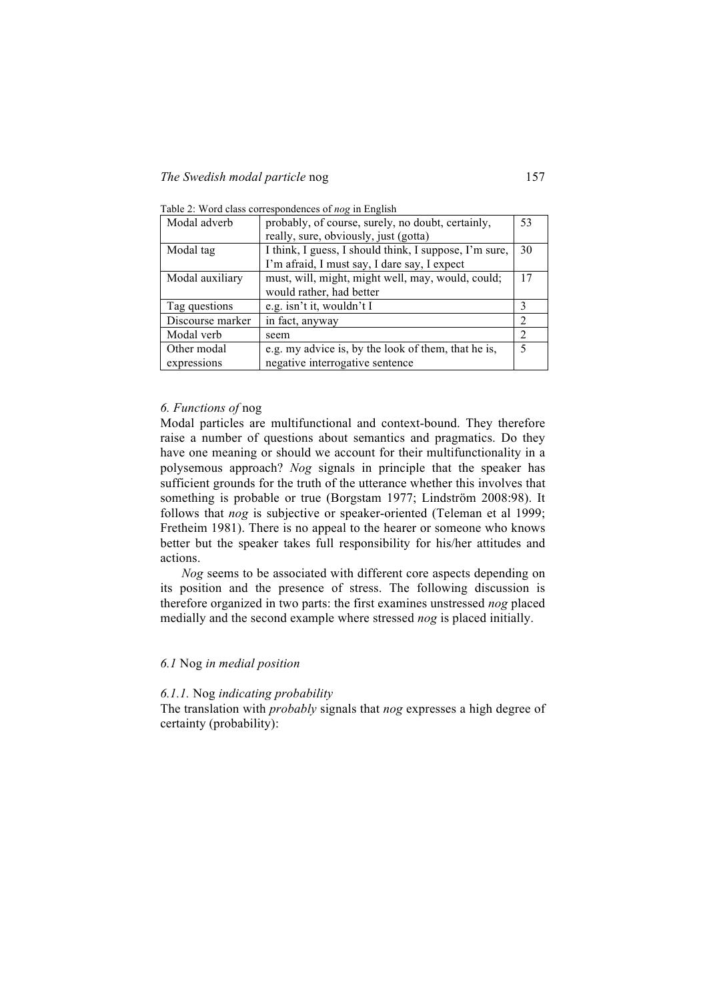| Modal adverb     | probably, of course, surely, no doubt, certainly,      | 53 |
|------------------|--------------------------------------------------------|----|
|                  | really, sure, obviously, just (gotta)                  |    |
| Modal tag        | I think, I guess, I should think, I suppose, I'm sure, | 30 |
|                  | I'm afraid, I must say, I dare say, I expect           |    |
| Modal auxiliary  | must, will, might, might well, may, would, could;      | 17 |
|                  | would rather, had better                               |    |
| Tag questions    | e.g. isn't it, wouldn't I                              | 3  |
| Discourse marker | in fact, anyway                                        | 2  |
| Modal verb       | seem                                                   | 2  |
| Other modal      | e.g. my advice is, by the look of them, that he is,    | 5  |
| expressions      | negative interrogative sentence                        |    |

Table 2: Word class correspondences of *nog* in English

#### *6. Functions of* nog

Modal particles are multifunctional and context-bound. They therefore raise a number of questions about semantics and pragmatics. Do they have one meaning or should we account for their multifunctionality in a polysemous approach? *Nog* signals in principle that the speaker has sufficient grounds for the truth of the utterance whether this involves that something is probable or true (Borgstam 1977; Lindström 2008:98). It follows that *nog* is subjective or speaker-oriented (Teleman et al 1999; Fretheim 1981). There is no appeal to the hearer or someone who knows better but the speaker takes full responsibility for his/her attitudes and actions.

*Nog* seems to be associated with different core aspects depending on its position and the presence of stress. The following discussion is therefore organized in two parts: the first examines unstressed *nog* placed medially and the second example where stressed *nog* is placed initially.

#### *6.1* Nog *in medial position*

#### *6.1.1.* Nog *indicating probability*

The translation with *probably* signals that *nog* expresses a high degree of certainty (probability):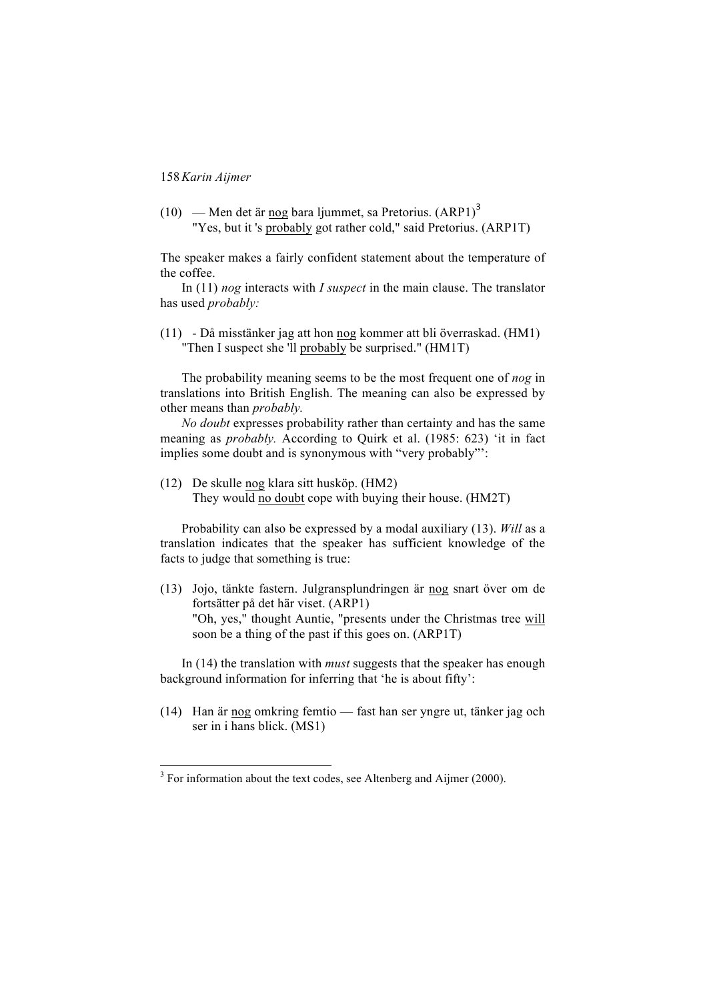(10) — Men det är nog bara ljummet, sa Pretorius.  $(ARP1)<sup>3</sup>$ "Yes, but it 's probably got rather cold," said Pretorius. (ARP1T)

The speaker makes a fairly confident statement about the temperature of the coffee.

In (11) *nog* interacts with *I suspect* in the main clause. The translator has used *probably:*

(11) - Då misstänker jag att hon nog kommer att bli överraskad. (HM1) "Then I suspect she 'll probably be surprised." (HM1T)

The probability meaning seems to be the most frequent one of *nog* in translations into British English. The meaning can also be expressed by other means than *probably.*

*No doubt* expresses probability rather than certainty and has the same meaning as *probably.* According to Quirk et al. (1985: 623) 'it in fact implies some doubt and is synonymous with "very probably"':

(12) De skulle nog klara sitt husköp. (HM2) They would no doubt cope with buying their house. (HM2T)

Probability can also be expressed by a modal auxiliary (13). *Will* as a translation indicates that the speaker has sufficient knowledge of the facts to judge that something is true:

(13) Jojo, tänkte fastern. Julgransplundringen är nog snart över om de fortsätter på det här viset. (ARP1) "Oh, yes," thought Auntie, "presents under the Christmas tree will soon be a thing of the past if this goes on. (ARP1T)

In (14) the translation with *must* suggests that the speaker has enough background information for inferring that 'he is about fifty':

(14) Han är nog omkring femtio — fast han ser yngre ut, tänker jag och ser in i hans blick. (MS1)

<sup>&</sup>lt;sup>3</sup> For information about the text codes, see Altenberg and Aijmer (2000).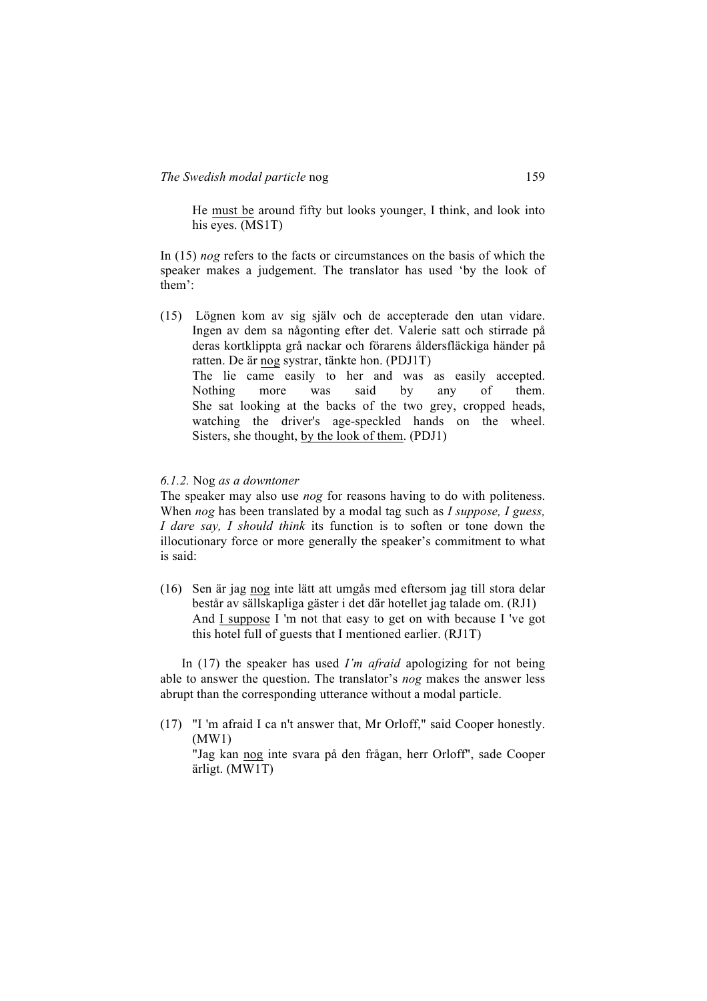He must be around fifty but looks younger, I think, and look into his eyes. (MS1T)

In (15) *nog* refers to the facts or circumstances on the basis of which the speaker makes a judgement. The translator has used 'by the look of them':

(15) Lögnen kom av sig själv och de accepterade den utan vidare. Ingen av dem sa någonting efter det. Valerie satt och stirrade på deras kortklippta grå nackar och förarens åldersfläckiga händer på ratten. De är nog systrar, tänkte hon. (PDJ1T) The lie came easily to her and was as easily accepted. Nothing more was said by any of them. She sat looking at the backs of the two grey, cropped heads, watching the driver's age-speckled hands on the wheel. Sisters, she thought, by the look of them. (PDJ1)

#### *6.1.2.* Nog *as a downtoner*

The speaker may also use *nog* for reasons having to do with politeness. When *nog* has been translated by a modal tag such as *I suppose, I guess, I dare say, I should think* its function is to soften or tone down the illocutionary force or more generally the speaker's commitment to what is said:

(16) Sen är jag nog inte lätt att umgås med eftersom jag till stora delar består av sällskapliga gäster i det där hotellet jag talade om. (RJ1) And I suppose I 'm not that easy to get on with because I 've got this hotel full of guests that I mentioned earlier. (RJ1T)

In (17) the speaker has used *I'm afraid* apologizing for not being able to answer the question. The translator's *nog* makes the answer less abrupt than the corresponding utterance without a modal particle.

(17) "I 'm afraid I ca n't answer that, Mr Orloff," said Cooper honestly. (MW1)

"Jag kan nog inte svara på den frågan, herr Orloff", sade Cooper ärligt. (MW1T)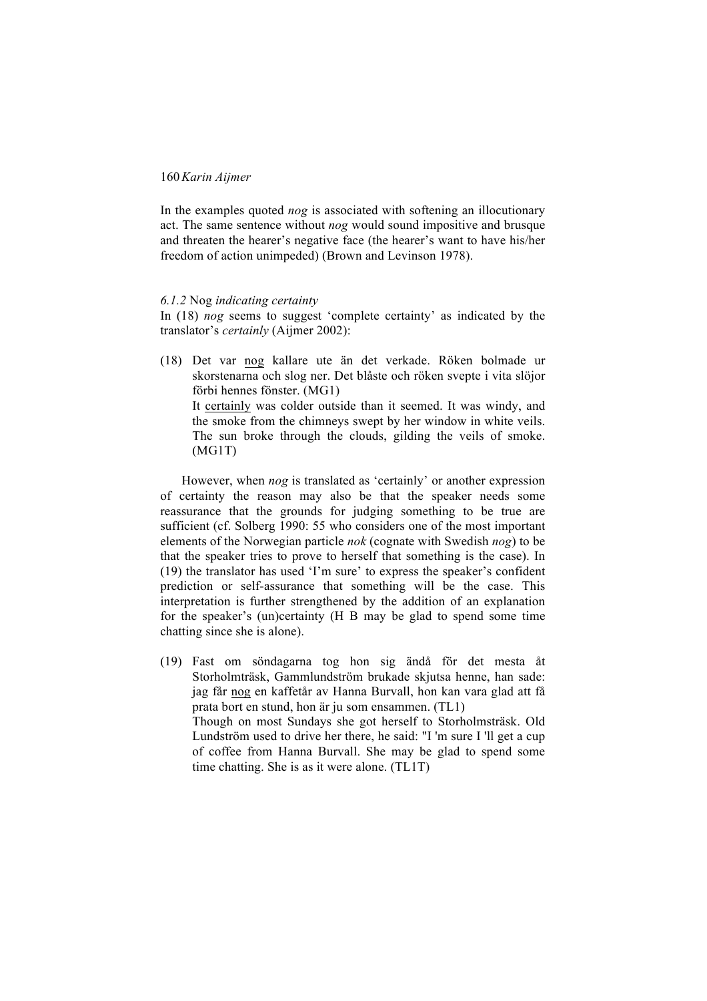In the examples quoted *nog* is associated with softening an illocutionary act. The same sentence without *nog* would sound impositive and brusque and threaten the hearer's negative face (the hearer's want to have his/her freedom of action unimpeded) (Brown and Levinson 1978).

#### *6.1.2* Nog *indicating certainty*

In (18) *nog* seems to suggest 'complete certainty' as indicated by the translator's *certainly* (Aijmer 2002):

(18) Det var nog kallare ute än det verkade. Röken bolmade ur skorstenarna och slog ner. Det blåste och röken svepte i vita slöjor förbi hennes fönster. (MG1) It certainly was colder outside than it seemed. It was windy, and the smoke from the chimneys swept by her window in white veils. The sun broke through the clouds, gilding the veils of smoke. (MG1T)

However, when *nog* is translated as 'certainly' or another expression of certainty the reason may also be that the speaker needs some reassurance that the grounds for judging something to be true are sufficient (cf. Solberg 1990: 55 who considers one of the most important elements of the Norwegian particle *nok* (cognate with Swedish *nog*) to be that the speaker tries to prove to herself that something is the case). In (19) the translator has used 'I'm sure' to express the speaker's confident prediction or self-assurance that something will be the case. This interpretation is further strengthened by the addition of an explanation for the speaker's (un)certainty (H B may be glad to spend some time chatting since she is alone).

(19) Fast om söndagarna tog hon sig ändå för det mesta åt Storholmträsk, Gammlundström brukade skjutsa henne, han sade: jag får nog en kaffetår av Hanna Burvall, hon kan vara glad att få prata bort en stund, hon är ju som ensammen. (TL1) Though on most Sundays she got herself to Storholmsträsk. Old Lundström used to drive her there, he said: "I 'm sure I 'll get a cup of coffee from Hanna Burvall. She may be glad to spend some time chatting. She is as it were alone. (TL1T)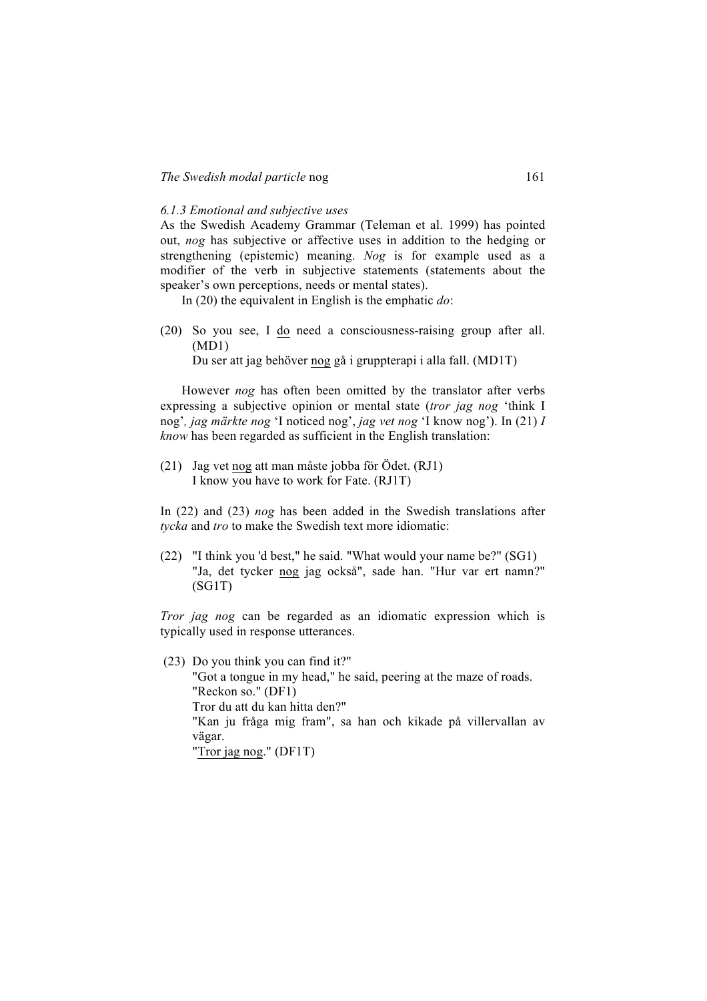#### *6.1.3 Emotional and subjective uses*

As the Swedish Academy Grammar (Teleman et al. 1999) has pointed out, *nog* has subjective or affective uses in addition to the hedging or strengthening (epistemic) meaning. *Nog* is for example used as a modifier of the verb in subjective statements (statements about the speaker's own perceptions, needs or mental states).

In (20) the equivalent in English is the emphatic *do*:

(20) So you see, I do need a consciousness-raising group after all. (MD1)

Du ser att jag behöver nog gå i gruppterapi i alla fall. (MD1T)

However *nog* has often been omitted by the translator after verbs expressing a subjective opinion or mental state (*tror jag nog* 'think I nog'*, jag märkte nog* 'I noticed nog', *jag vet nog* 'I know nog'). In (21) *I know* has been regarded as sufficient in the English translation:

(21) Jag vet nog att man måste jobba för Ödet. (RJ1) I know you have to work for Fate. (RJ1T)

In (22) and (23) *nog* has been added in the Swedish translations after *tycka* and *tro* to make the Swedish text more idiomatic:

(22) "I think you 'd best," he said. "What would your name be?" (SG1) "Ja, det tycker nog jag också", sade han. "Hur var ert namn?" (SG1T)

*Tror jag nog* can be regarded as an idiomatic expression which is typically used in response utterances.

(23) Do you think you can find it?" "Got a tongue in my head," he said, peering at the maze of roads. "Reckon so." (DF1) Tror du att du kan hitta den?" "Kan ju fråga mig fram", sa han och kikade på villervallan av vägar. "Tror jag nog." (DF1T)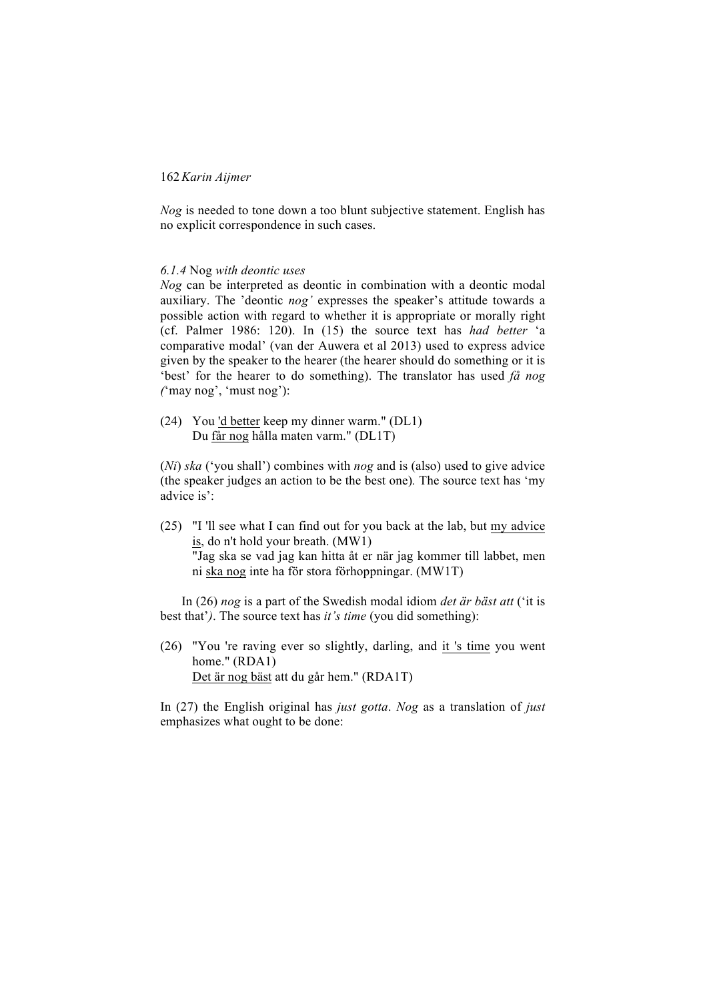*Nog* is needed to tone down a too blunt subjective statement. English has no explicit correspondence in such cases.

#### *6.1.4* Nog *with deontic uses*

*Nog* can be interpreted as deontic in combination with a deontic modal auxiliary. The 'deontic *nog'* expresses the speaker's attitude towards a possible action with regard to whether it is appropriate or morally right (cf. Palmer 1986: 120). In (15) the source text has *had better* 'a comparative modal' (van der Auwera et al 2013) used to express advice given by the speaker to the hearer (the hearer should do something or it is 'best' for the hearer to do something). The translator has used *få nog (*'may nog', 'must nog'):

(24) You 'd better keep my dinner warm." (DL1) Du får nog hålla maten varm." (DL1T)

(*Ni*) *ska* ('you shall') combines with *nog* and is (also) used to give advice (the speaker judges an action to be the best one)*.* The source text has 'my advice is':

(25) "I 'll see what I can find out for you back at the lab, but my advice is, do n't hold your breath. (MW1) "Jag ska se vad jag kan hitta åt er när jag kommer till labbet, men ni ska nog inte ha för stora förhoppningar. (MW1T)

In (26) *nog* is a part of the Swedish modal idiom *det är bäst att* ('it is best that'*)*. The source text has *it's time* (you did something):

(26) "You 're raving ever so slightly, darling, and it 's time you went home." (RDA1) Det är nog bäst att du går hem." (RDA1T)

In (27) the English original has *just gotta*. *Nog* as a translation of *just* emphasizes what ought to be done: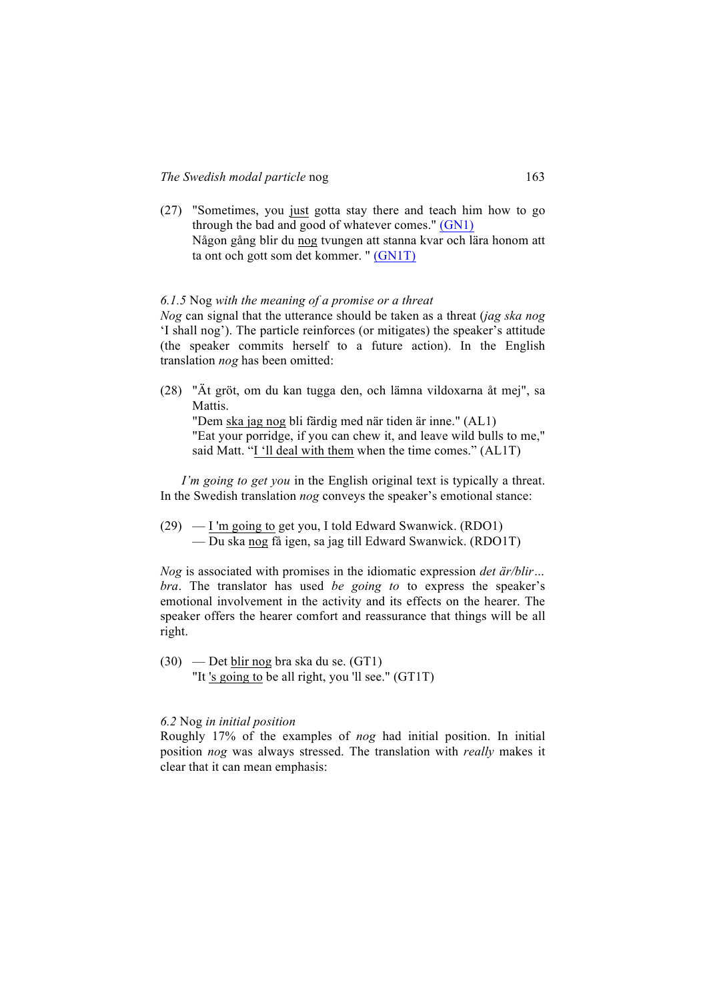(27) "Sometimes, you just gotta stay there and teach him how to go through the bad and good of whatever comes." (GN1) Någon gång blir du nog tvungen att stanna kvar och lära honom att ta ont och gott som det kommer. " (GN1T)

### *6.1.5* Nog *with the meaning of a promise or a threat*

*Nog* can signal that the utterance should be taken as a threat (*jag ska nog*  'I shall nog'). The particle reinforces (or mitigates) the speaker's attitude (the speaker commits herself to a future action). In the English translation *nog* has been omitted:

(28) "Ät gröt, om du kan tugga den, och lämna vildoxarna åt mej", sa Mattis.

"Dem ska jag nog bli färdig med när tiden är inne." (AL1) "Eat your porridge, if you can chew it, and leave wild bulls to me," said Matt. "I 'll deal with them when the time comes." (AL1T)

*I'm going to get you* in the English original text is typically a threat. In the Swedish translation *nog* conveys the speaker's emotional stance:

(29) — I 'm going to get you, I told Edward Swanwick. (RDO1) — Du ska nog få igen, sa jag till Edward Swanwick. (RDO1T)

*Nog* is associated with promises in the idiomatic expression *det är/blir… bra*. The translator has used *be going to* to express the speaker's emotional involvement in the activity and its effects on the hearer. The speaker offers the hearer comfort and reassurance that things will be all right.

(30) — Det blir nog bra ska du se. (GT1) "It 's going to be all right, you 'll see." (GT1T)

#### *6.2* Nog *in initial position*

Roughly 17% of the examples of *nog* had initial position. In initial position *nog* was always stressed. The translation with *really* makes it clear that it can mean emphasis: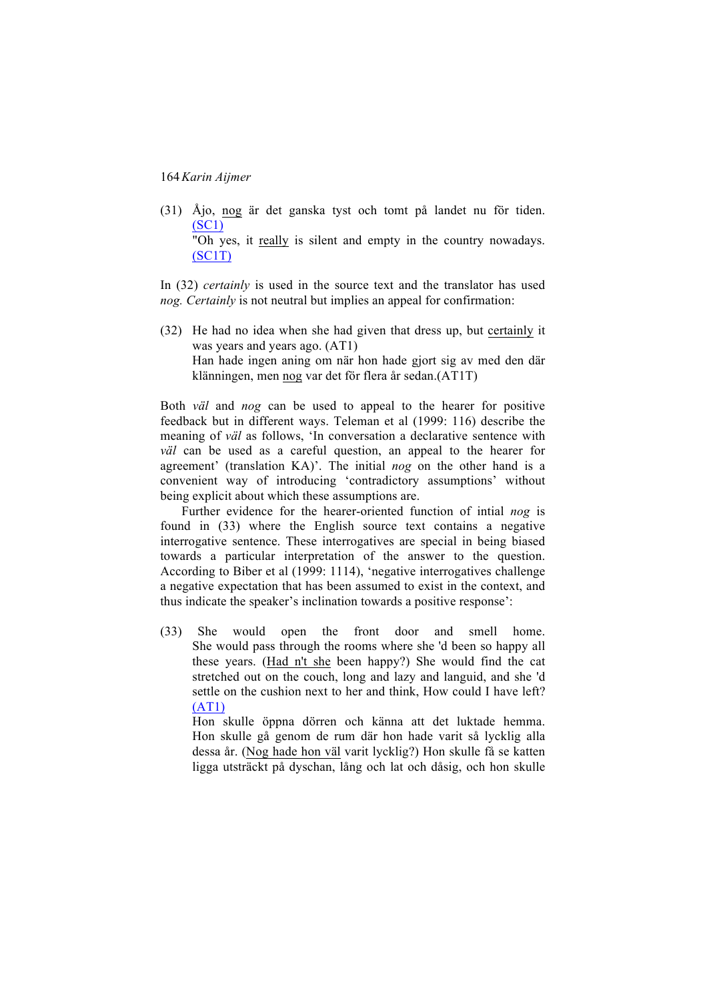(31) Åjo, nog är det ganska tyst och tomt på landet nu för tiden. (SC1)

"Oh yes, it really is silent and empty in the country nowadays. (SC1T)

In (32) *certainly* is used in the source text and the translator has used *nog. Certainly* is not neutral but implies an appeal for confirmation:

(32) He had no idea when she had given that dress up, but certainly it was years and years ago. (AT1) Han hade ingen aning om när hon hade gjort sig av med den där klänningen, men nog var det för flera år sedan.(AT1T)

Both *väl* and *nog* can be used to appeal to the hearer for positive feedback but in different ways. Teleman et al (1999: 116) describe the meaning of *väl* as follows, 'In conversation a declarative sentence with *väl* can be used as a careful question, an appeal to the hearer for agreement' (translation KA)'. The initial *nog* on the other hand is a convenient way of introducing 'contradictory assumptions' without being explicit about which these assumptions are.

Further evidence for the hearer-oriented function of intial *nog* is found in (33) where the English source text contains a negative interrogative sentence. These interrogatives are special in being biased towards a particular interpretation of the answer to the question. According to Biber et al (1999: 1114), 'negative interrogatives challenge a negative expectation that has been assumed to exist in the context, and thus indicate the speaker's inclination towards a positive response':

(33) She would open the front door and smell home. She would pass through the rooms where she 'd been so happy all these years. (Had n't she been happy?) She would find the cat stretched out on the couch, long and lazy and languid, and she 'd settle on the cushion next to her and think, How could I have left? (AT1)

Hon skulle öppna dörren och känna att det luktade hemma. Hon skulle gå genom de rum där hon hade varit så lycklig alla dessa år. (Nog hade hon väl varit lycklig?) Hon skulle få se katten ligga utsträckt på dyschan, lång och lat och dåsig, och hon skulle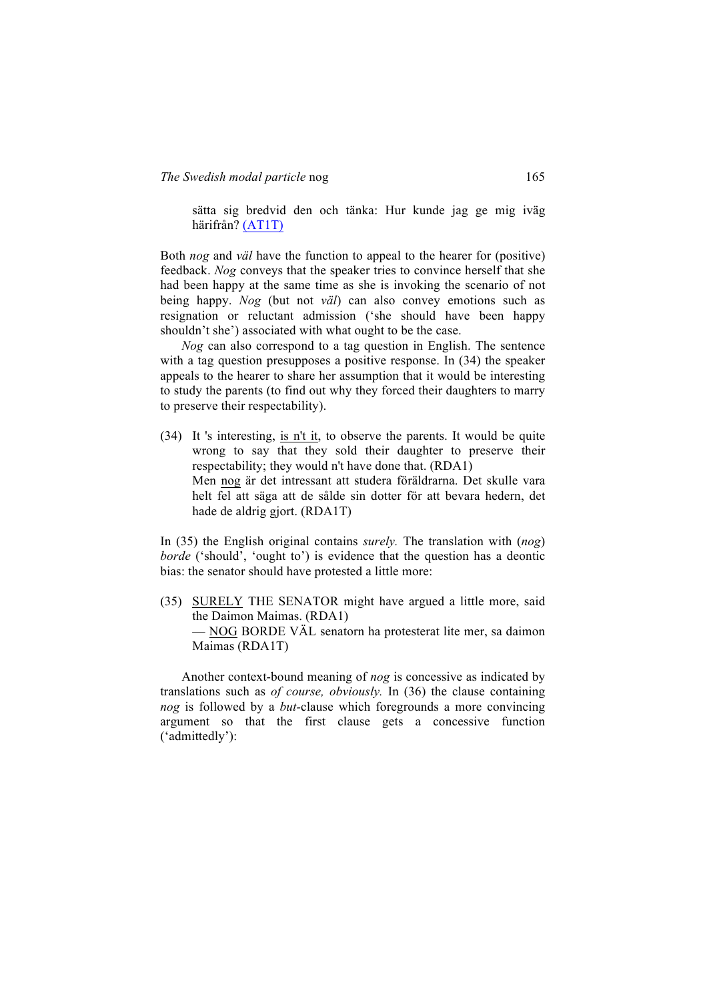sätta sig bredvid den och tänka: Hur kunde jag ge mig iväg härifrån? (AT1T)

Both *nog* and *väl* have the function to appeal to the hearer for (positive) feedback. *Nog* conveys that the speaker tries to convince herself that she had been happy at the same time as she is invoking the scenario of not being happy. *Nog* (but not *väl*) can also convey emotions such as resignation or reluctant admission ('she should have been happy shouldn't she') associated with what ought to be the case.

*Nog* can also correspond to a tag question in English. The sentence with a tag question presupposes a positive response. In (34) the speaker appeals to the hearer to share her assumption that it would be interesting to study the parents (to find out why they forced their daughters to marry to preserve their respectability).

(34) It 's interesting, is n't it, to observe the parents. It would be quite wrong to say that they sold their daughter to preserve their respectability; they would n't have done that. (RDA1) Men nog är det intressant att studera föräldrarna. Det skulle vara helt fel att säga att de sålde sin dotter för att bevara hedern, det hade de aldrig gjort. (RDA1T)

In (35) the English original contains *surely.* The translation with (*nog*) *borde* ('should', 'ought to') is evidence that the question has a deontic bias: the senator should have protested a little more:

(35) SURELY THE SENATOR might have argued a little more, said the Daimon Maimas. (RDA1) — NOG BORDE VÄL senatorn ha protesterat lite mer, sa daimon Maimas (RDA1T)

Another context-bound meaning of *nog* is concessive as indicated by translations such as *of course, obviously.* In (36) the clause containing *nog* is followed by a *but-*clause which foregrounds a more convincing argument so that the first clause gets a concessive function ('admittedly'):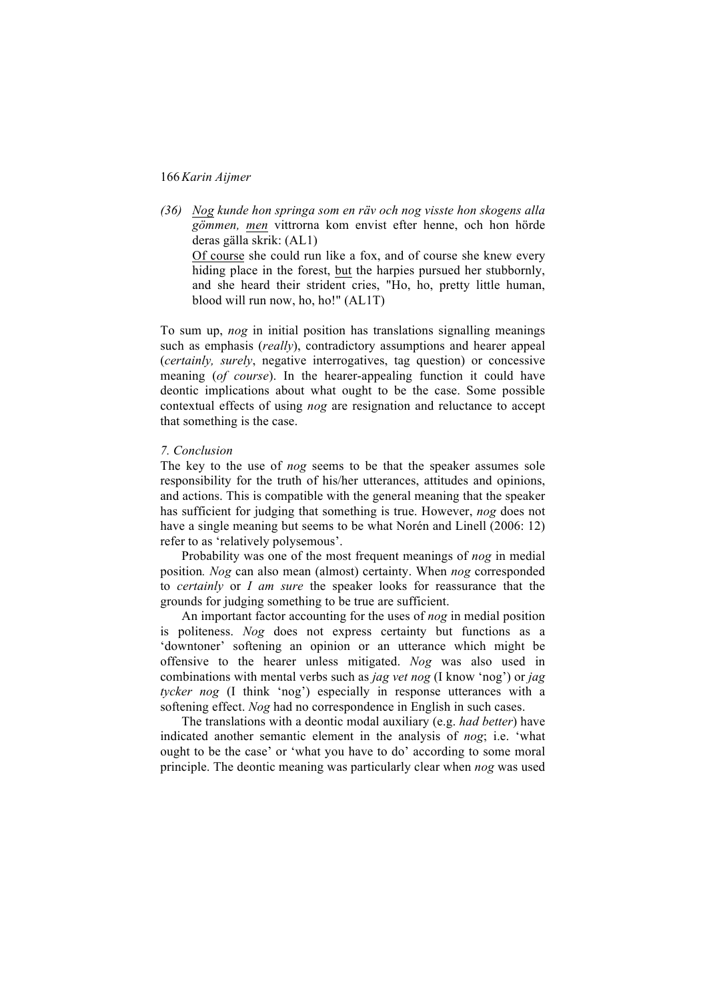*(36) Nog kunde hon springa som en räv och nog visste hon skogens alla gömmen, men* vittrorna kom envist efter henne, och hon hörde deras gälla skrik: (AL1)

Of course she could run like a fox, and of course she knew every hiding place in the forest, but the harpies pursued her stubbornly, and she heard their strident cries, "Ho, ho, pretty little human, blood will run now, ho, ho!" (AL1T)

To sum up, *nog* in initial position has translations signalling meanings such as emphasis (*really*), contradictory assumptions and hearer appeal (*certainly, surely*, negative interrogatives, tag question) or concessive meaning (*of course*). In the hearer-appealing function it could have deontic implications about what ought to be the case. Some possible contextual effects of using *nog* are resignation and reluctance to accept that something is the case.

#### *7. Conclusion*

The key to the use of *nog* seems to be that the speaker assumes sole responsibility for the truth of his/her utterances, attitudes and opinions, and actions. This is compatible with the general meaning that the speaker has sufficient for judging that something is true. However, *nog* does not have a single meaning but seems to be what Norén and Linell (2006: 12) refer to as 'relatively polysemous'.

Probability was one of the most frequent meanings of *nog* in medial position*. Nog* can also mean (almost) certainty. When *nog* corresponded to *certainly* or *I am sure* the speaker looks for reassurance that the grounds for judging something to be true are sufficient.

An important factor accounting for the uses of *nog* in medial position is politeness. *Nog* does not express certainty but functions as a 'downtoner' softening an opinion or an utterance which might be offensive to the hearer unless mitigated. *Nog* was also used in combinations with mental verbs such as *jag vet nog* (I know 'nog') or *jag tycker nog* (I think 'nog') especially in response utterances with a softening effect. *Nog* had no correspondence in English in such cases.

The translations with a deontic modal auxiliary (e.g. *had better*) have indicated another semantic element in the analysis of *nog*; i.e. 'what ought to be the case' or 'what you have to do' according to some moral principle. The deontic meaning was particularly clear when *nog* was used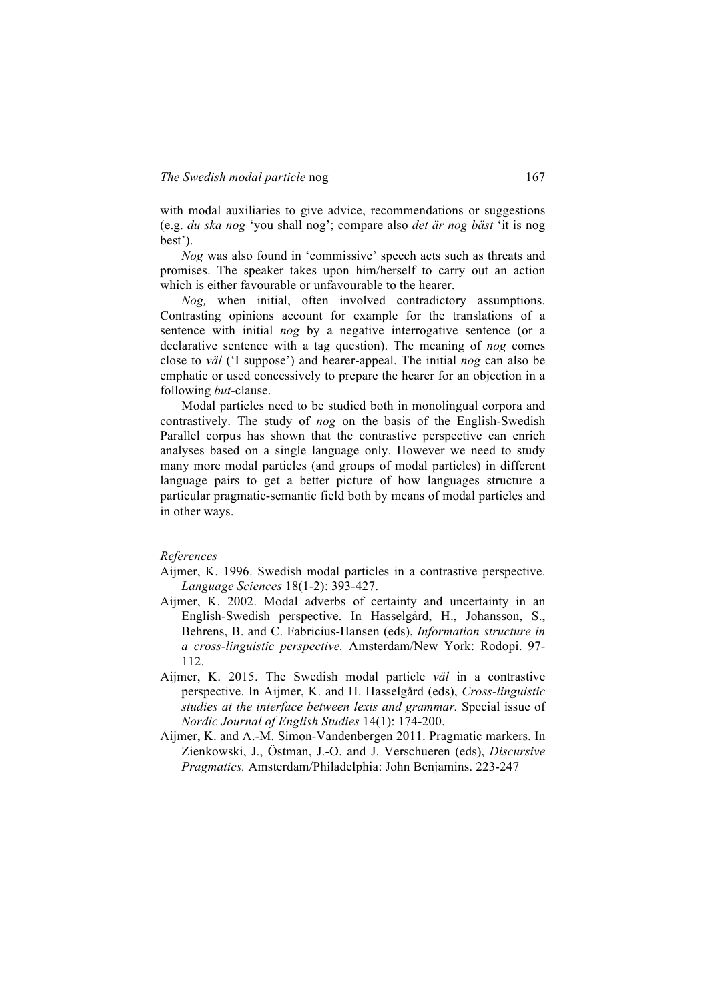with modal auxiliaries to give advice, recommendations or suggestions (e.g. *du ska nog* 'you shall nog'; compare also *det är nog bäst* 'it is nog best').

*Nog* was also found in 'commissive' speech acts such as threats and promises. The speaker takes upon him/herself to carry out an action which is either favourable or unfavourable to the hearer.

*Nog,* when initial, often involved contradictory assumptions. Contrasting opinions account for example for the translations of a sentence with initial *nog* by a negative interrogative sentence (or a declarative sentence with a tag question). The meaning of *nog* comes close to *väl* ('I suppose') and hearer-appeal. The initial *nog* can also be emphatic or used concessively to prepare the hearer for an objection in a following *but-*clause.

Modal particles need to be studied both in monolingual corpora and contrastively. The study of *nog* on the basis of the English-Swedish Parallel corpus has shown that the contrastive perspective can enrich analyses based on a single language only. However we need to study many more modal particles (and groups of modal particles) in different language pairs to get a better picture of how languages structure a particular pragmatic-semantic field both by means of modal particles and in other ways.

#### *References*

Aijmer, K. 1996. Swedish modal particles in a contrastive perspective. *Language Sciences* 18(1-2): 393-427.

- Aijmer, K. 2002. Modal adverbs of certainty and uncertainty in an English-Swedish perspective. In Hasselgård, H., Johansson, S., Behrens, B. and C. Fabricius-Hansen (eds), *Information structure in a cross-linguistic perspective.* Amsterdam/New York: Rodopi. 97- 112.
- Aijmer, K. 2015. The Swedish modal particle *väl* in a contrastive perspective. In Aijmer, K. and H. Hasselgård (eds), *Cross-linguistic studies at the interface between lexis and grammar.* Special issue of *Nordic Journal of English Studies* 14(1): 174-200.
- Aijmer, K. and A.-M. Simon-Vandenbergen 2011. Pragmatic markers. In Zienkowski, J., Östman, J.-O. and J. Verschueren (eds), *Discursive Pragmatics.* Amsterdam/Philadelphia: John Benjamins. 223-247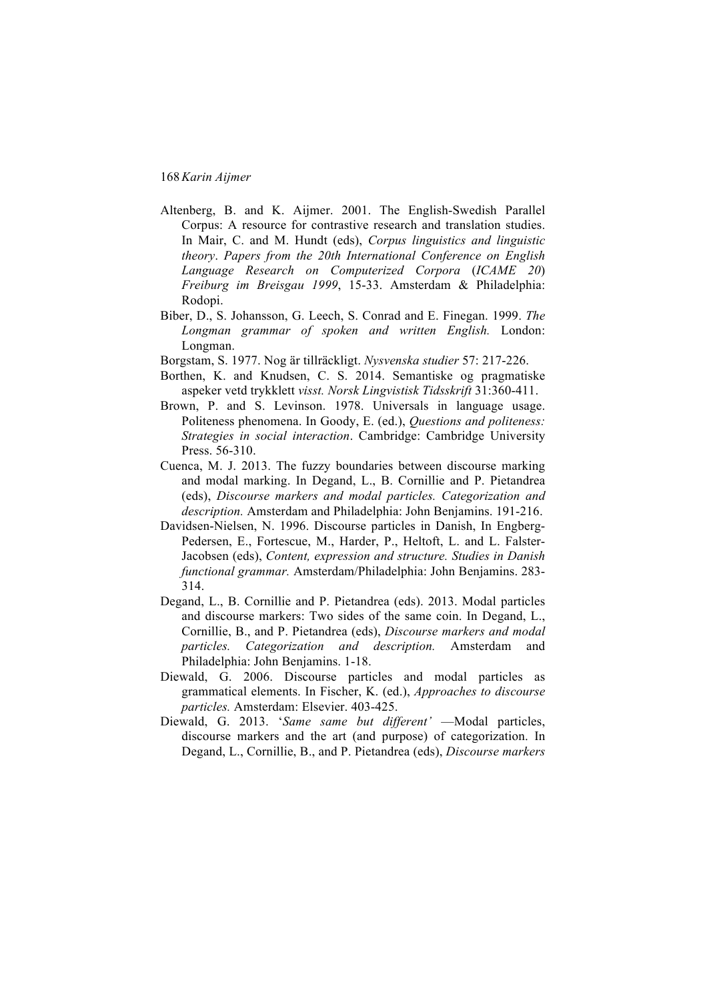- Altenberg, B. and K. Aijmer. 2001. The English-Swedish Parallel Corpus: A resource for contrastive research and translation studies. In Mair, C. and M. Hundt (eds), *Corpus linguistics and linguistic theory*. *Papers from the 20th International Conference on English Language Research on Computerized Corpora* (*ICAME 20*) *Freiburg im Breisgau 1999*, 15-33. Amsterdam & Philadelphia: Rodopi.
- Biber, D., S. Johansson, G. Leech, S. Conrad and E. Finegan. 1999. *The Longman grammar of spoken and written English.* London: Longman.
- Borgstam, S. 1977. Nog är tillräckligt. *Nysvenska studier* 57: 217-226.
- Borthen, K. and Knudsen, C. S. 2014. Semantiske og pragmatiske aspeker vetd trykklett *visst. Norsk Lingvistisk Tidsskrift* 31:360-411.
- Brown, P. and S. Levinson. 1978. Universals in language usage. Politeness phenomena. In Goody, E. (ed.), *Questions and politeness: Strategies in social interaction*. Cambridge: Cambridge University Press. 56-310.
- Cuenca, M. J. 2013. The fuzzy boundaries between discourse marking and modal marking. In Degand, L., B. Cornillie and P. Pietandrea (eds), *Discourse markers and modal particles. Categorization and description.* Amsterdam and Philadelphia: John Benjamins. 191-216.
- Davidsen-Nielsen, N. 1996. Discourse particles in Danish, In Engberg-Pedersen, E., Fortescue, M., Harder, P., Heltoft, L. and L. Falster-Jacobsen (eds), *Content, expression and structure. Studies in Danish functional grammar.* Amsterdam/Philadelphia: John Benjamins. 283- 314.
- Degand, L., B. Cornillie and P. Pietandrea (eds). 2013. Modal particles and discourse markers: Two sides of the same coin. In Degand, L., Cornillie, B., and P. Pietandrea (eds), *Discourse markers and modal particles. Categorization and description.* Amsterdam and Philadelphia: John Benjamins. 1-18.
- Diewald, G. 2006. Discourse particles and modal particles as grammatical elements. In Fischer, K. (ed.), *Approaches to discourse particles.* Amsterdam: Elsevier. 403-425.
- Diewald, G. 2013. '*Same same but different'* —Modal particles, discourse markers and the art (and purpose) of categorization. In Degand, L., Cornillie, B., and P. Pietandrea (eds), *Discourse markers*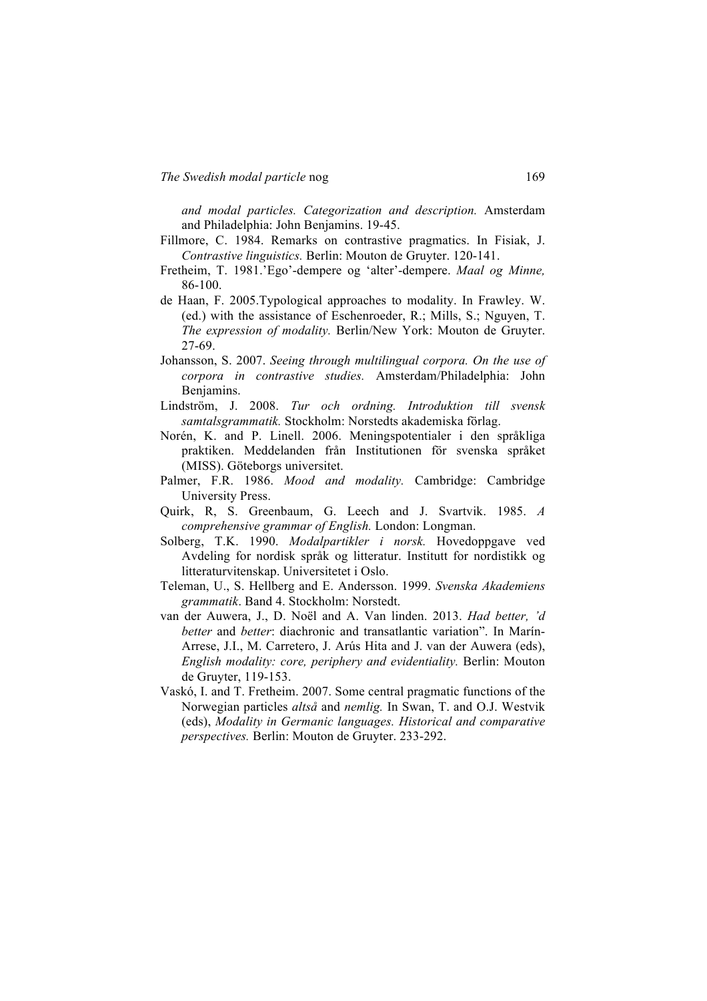*and modal particles. Categorization and description.* Amsterdam and Philadelphia: John Benjamins. 19-45.

- Fillmore, C. 1984. Remarks on contrastive pragmatics. In Fisiak, J. *Contrastive linguistics.* Berlin: Mouton de Gruyter. 120-141.
- Fretheim, T. 1981.'Ego'-dempere og 'alter'-dempere. *Maal og Minne,*  86-100.
- de Haan, F. 2005.Typological approaches to modality. In Frawley. W. (ed.) with the assistance of Eschenroeder, R.; Mills, S.; Nguyen, T. *The expression of modality.* Berlin/New York: Mouton de Gruyter. 27-69.
- Johansson, S. 2007. *Seeing through multilingual corpora. On the use of corpora in contrastive studies.* Amsterdam/Philadelphia: John Benjamins.
- Lindström, J. 2008. *Tur och ordning. Introduktion till svensk samtalsgrammatik.* Stockholm: Norstedts akademiska förlag.
- Norén, K. and P. Linell. 2006. Meningspotentialer i den språkliga praktiken. Meddelanden från Institutionen för svenska språket (MISS). Göteborgs universitet.
- Palmer, F.R. 1986. *Mood and modality.* Cambridge: Cambridge University Press.
- Quirk, R, S. Greenbaum, G. Leech and J. Svartvik. 1985. *A comprehensive grammar of English.* London: Longman.
- Solberg, T.K. 1990. *Modalpartikler i norsk.* Hovedoppgave ved Avdeling for nordisk språk og litteratur. Institutt for nordistikk og litteraturvitenskap. Universitetet i Oslo.
- Teleman, U., S. Hellberg and E. Andersson. 1999. *Svenska Akademiens grammatik*. Band 4. Stockholm: Norstedt.
- van der Auwera, J., D. Noël and A. Van linden. 2013. *Had better, 'd better* and *better*: diachronic and transatlantic variation". In Marín-Arrese, J.I., M. Carretero, J. Arús Hita and J. van der Auwera (eds), *English modality: core, periphery and evidentiality.* Berlin: Mouton de Gruyter, 119-153.
- Vaskó, I. and T. Fretheim. 2007. Some central pragmatic functions of the Norwegian particles *altså* and *nemlig.* In Swan, T. and O.J. Westvik (eds), *Modality in Germanic languages. Historical and comparative perspectives.* Berlin: Mouton de Gruyter. 233-292.